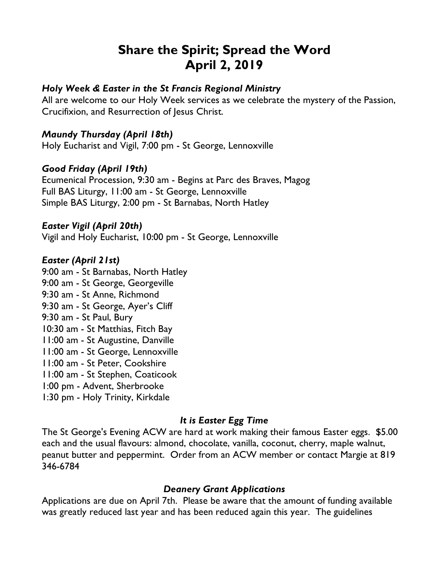# **Share the Spirit; Spread the Word April 2, 2019**

# *Holy Week & Easter in the St Francis Regional Ministry*

All are welcome to our Holy Week services as we celebrate the mystery of the Passion, Crucifixion, and Resurrection of Jesus Christ.

# *Maundy Thursday (April 18th)*

Holy Eucharist and Vigil, 7:00 pm - St George, Lennoxville

## *Good Friday (April 19th)*

Ecumenical Procession, 9:30 am - Begins at Parc des Braves, Magog Full BAS Liturgy, 11:00 am - St George, Lennoxville Simple BAS Liturgy, 2:00 pm - St Barnabas, North Hatley

## *Easter Vigil (April 20th)*

Vigil and Holy Eucharist, 10:00 pm - St George, Lennoxville

## *Easter (April 21st)*

9:00 am - St Barnabas, North Hatley 9:00 am - St George, Georgeville 9:30 am - St Anne, Richmond 9:30 am - St George, Ayer's Cliff 9:30 am - St Paul, Bury 10:30 am - St Matthias, Fitch Bay 11:00 am - St Augustine, Danville 11:00 am - St George, Lennoxville 11:00 am - St Peter, Cookshire 11:00 am - St Stephen, Coaticook 1:00 pm - Advent, Sherbrooke 1:30 pm - Holy Trinity, Kirkdale

#### *It is Easter Egg Time*

The St George's Evening ACW are hard at work making their famous Easter eggs. \$5.00 each and the usual flavours: almond, chocolate, vanilla, coconut, cherry, maple walnut, peanut butter and peppermint. Order from an ACW member or contact Margie at 819 346-6784

#### *Deanery Grant Applications*

Applications are due on April 7th. Please be aware that the amount of funding available was greatly reduced last year and has been reduced again this year. The guidelines